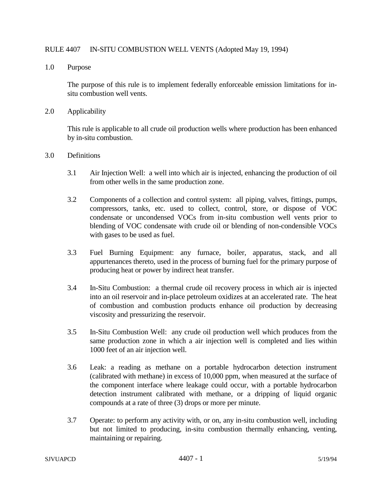## RULE 4407 IN-SITU COMBUSTION WELL VENTS (Adopted May 19, 1994)

1.0 Purpose

The purpose of this rule is to implement federally enforceable emission limitations for insitu combustion well vents.

2.0 Applicability

This rule is applicable to all crude oil production wells where production has been enhanced by in-situ combustion.

- 3.0 Definitions
	- 3.1 Air Injection Well: a well into which air is injected, enhancing the production of oil from other wells in the same production zone.
	- 3.2 Components of a collection and control system: all piping, valves, fittings, pumps, compressors, tanks, etc. used to collect, control, store, or dispose of VOC condensate or uncondensed VOCs from in-situ combustion well vents prior to blending of VOC condensate with crude oil or blending of non-condensible VOCs with gases to be used as fuel.
	- 3.3 Fuel Burning Equipment: any furnace, boiler, apparatus, stack, and all appurtenances thereto, used in the process of burning fuel for the primary purpose of producing heat or power by indirect heat transfer.
	- 3.4 In-Situ Combustion: a thermal crude oil recovery process in which air is injected into an oil reservoir and in-place petroleum oxidizes at an accelerated rate. The heat of combustion and combustion products enhance oil production by decreasing viscosity and pressurizing the reservoir.
	- 3.5 In-Situ Combustion Well: any crude oil production well which produces from the same production zone in which a air injection well is completed and lies within 1000 feet of an air injection well.
	- 3.6 Leak: a reading as methane on a portable hydrocarbon detection instrument (calibrated with methane) in excess of 10,000 ppm, when measured at the surface of the component interface where leakage could occur, with a portable hydrocarbon detection instrument calibrated with methane, or a dripping of liquid organic compounds at a rate of three (3) drops or more per minute.
	- 3.7 Operate: to perform any activity with, or on, any in-situ combustion well, including but not limited to producing, in-situ combustion thermally enhancing, venting, maintaining or repairing.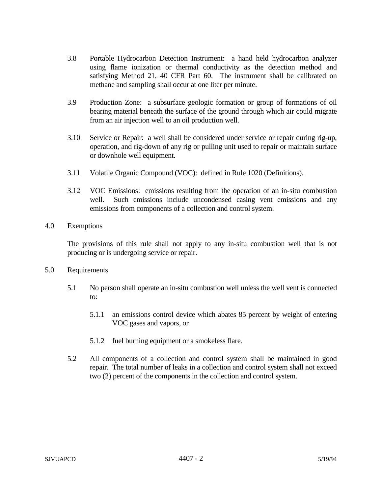- 3.8 Portable Hydrocarbon Detection Instrument: a hand held hydrocarbon analyzer using flame ionization or thermal conductivity as the detection method and satisfying Method 21, 40 CFR Part 60. The instrument shall be calibrated on methane and sampling shall occur at one liter per minute.
- 3.9 Production Zone: a subsurface geologic formation or group of formations of oil bearing material beneath the surface of the ground through which air could migrate from an air injection well to an oil production well.
- 3.10 Service or Repair: a well shall be considered under service or repair during rig-up, operation, and rig-down of any rig or pulling unit used to repair or maintain surface or downhole well equipment.
- 3.11 Volatile Organic Compound (VOC): defined in Rule 1020 (Definitions).
- 3.12 VOC Emissions: emissions resulting from the operation of an in-situ combustion well. Such emissions include uncondensed casing vent emissions and any emissions from components of a collection and control system.
- 4.0 Exemptions

The provisions of this rule shall not apply to any in-situ combustion well that is not producing or is undergoing service or repair.

- 5.0 Requirements
	- 5.1 No person shall operate an in-situ combustion well unless the well vent is connected to:
		- 5.1.1 an emissions control device which abates 85 percent by weight of entering VOC gases and vapors, or
		- 5.1.2 fuel burning equipment or a smokeless flare.
	- 5.2 All components of a collection and control system shall be maintained in good repair. The total number of leaks in a collection and control system shall not exceed two (2) percent of the components in the collection and control system.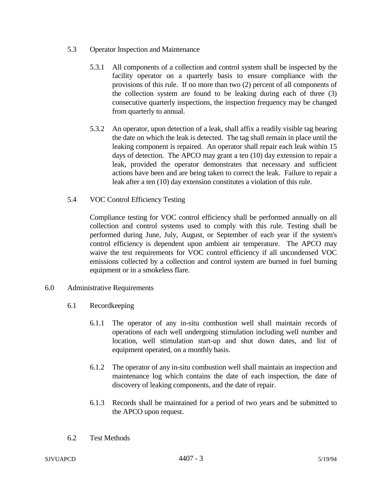- 5.3 Operator Inspection and Maintenance
	- 5.3.1 All components of a collection and control system shall be inspected by the facility operator on a quarterly basis to ensure compliance with the provisions of this rule. If no more than two (2) percent of all components of the collection system are found to be leaking during each of three (3) consecutive quarterly inspections, the inspection frequency may be changed from quarterly to annual.
	- 5.3.2 An operator, upon detection of a leak, shall affix a readily visible tag bearing the date on which the leak is detected. The tag shall remain in place until the leaking component is repaired. An operator shall repair each leak within 15 days of detection. The APCO may grant a ten (10) day extension to repair a leak, provided the operator demonstrates that necessary and sufficient actions have been and are being taken to correct the leak. Failure to repair a leak after a ten (10) day extension constitutes a violation of this rule.
- 5.4 VOC Control Efficiency Testing

Compliance testing for VOC control efficiency shall be performed annually on all collection and control systems used to comply with this rule. Testing shall be performed during June, July, August, or September of each year if the system's control efficiency is dependent upon ambient air temperature. The APCO may waive the test requirements for VOC control efficiency if all uncondensed VOC emissions collected by a collection and control system are burned in fuel burning equipment or in a smokeless flare.

- 6.0 Administrative Requirements
	- 6.1 Recordkeeping
		- 6.1.1 The operator of any in-situ combustion well shall maintain records of operations of each well undergoing stimulation including well number and location, well stimulation start-up and shut down dates, and list of equipment operated, on a monthly basis.
		- 6.1.2 The operator of any in-situ combustion well shall maintain an inspection and maintenance log which contains the date of each inspection, the date of discovery of leaking components, and the date of repair.
		- 6.1.3 Records shall be maintained for a period of two years and be submitted to the APCO upon request.
	- 6.2 Test Methods